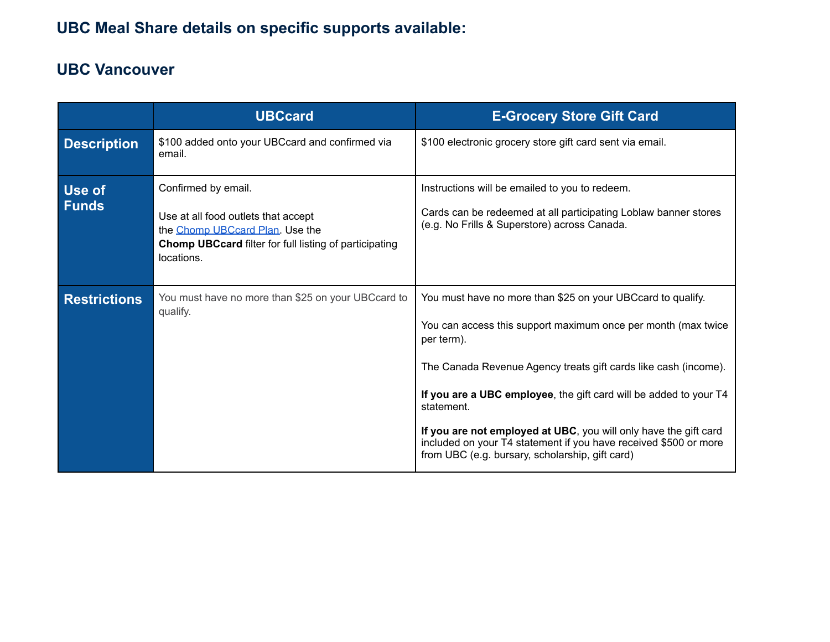## **UBC Meal Share details on specific supports available:**

## **UBC Vancouver**

|                     | <b>UBCcard</b>                                                                                                                                                        | <b>E-Grocery Store Gift Card</b>                                                                                                                                                                                                                                                                                                                                                                                                                                                            |
|---------------------|-----------------------------------------------------------------------------------------------------------------------------------------------------------------------|---------------------------------------------------------------------------------------------------------------------------------------------------------------------------------------------------------------------------------------------------------------------------------------------------------------------------------------------------------------------------------------------------------------------------------------------------------------------------------------------|
| <b>Description</b>  | \$100 added onto your UBCcard and confirmed via<br>email.                                                                                                             | \$100 electronic grocery store gift card sent via email.                                                                                                                                                                                                                                                                                                                                                                                                                                    |
| Use of<br>Funds     | Confirmed by email.<br>Use at all food outlets that accept<br>the Chomp UBCcard Plan. Use the<br>Chomp UBCcard filter for full listing of participating<br>locations. | Instructions will be emailed to you to redeem.<br>Cards can be redeemed at all participating Loblaw banner stores<br>(e.g. No Frills & Superstore) across Canada.                                                                                                                                                                                                                                                                                                                           |
| <b>Restrictions</b> | You must have no more than \$25 on your UBCcard to<br>qualify.                                                                                                        | You must have no more than \$25 on your UBCcard to qualify.<br>You can access this support maximum once per month (max twice<br>per term).<br>The Canada Revenue Agency treats gift cards like cash (income).<br>If you are a UBC employee, the gift card will be added to your T4<br>statement.<br>If you are not employed at UBC, you will only have the gift card<br>included on your T4 statement if you have received \$500 or more<br>from UBC (e.g. bursary, scholarship, gift card) |